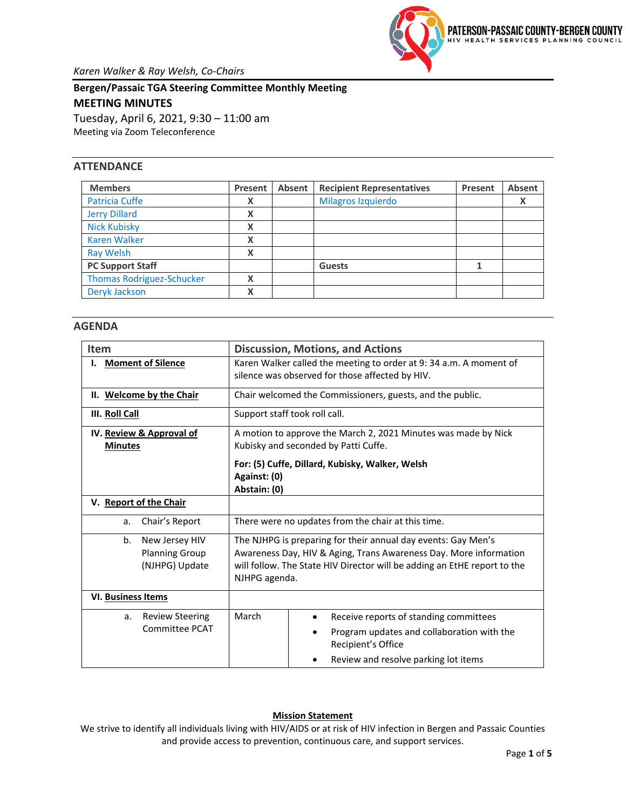

**Bergen/Passaic TGA Steering Committee Monthly Meeting MEETING MINUTES** Tuesday, April 6, 2021, 9:30 – 11:00 am Meeting via Zoom Teleconference

### **ATTENDANCE**

| <b>Members</b>                   | Present | Absent | <b>Recipient Representatives</b> | Present | <b>Absent</b> |  |
|----------------------------------|---------|--------|----------------------------------|---------|---------------|--|
| <b>Patricia Cuffe</b>            | X       |        | Milagros Izquierdo               |         |               |  |
| <b>Jerry Dillard</b>             | X       |        |                                  |         |               |  |
| <b>Nick Kubisky</b>              | X       |        |                                  |         |               |  |
| <b>Karen Walker</b>              | X       |        |                                  |         |               |  |
| <b>Ray Welsh</b>                 | X       |        |                                  |         |               |  |
| <b>PC Support Staff</b>          |         |        | <b>Guests</b>                    |         |               |  |
| <b>Thomas Rodriguez-Schucker</b> | Χ       |        |                                  |         |               |  |
| Deryk Jackson                    | X       |        |                                  |         |               |  |

#### **AGENDA**

| <b>Item</b>                  | <b>Discussion, Motions, and Actions</b>                                  |  |  |  |  |  |  |
|------------------------------|--------------------------------------------------------------------------|--|--|--|--|--|--|
| <b>Moment of Silence</b>     | Karen Walker called the meeting to order at 9: 34 a.m. A moment of       |  |  |  |  |  |  |
|                              | silence was observed for those affected by HIV.                          |  |  |  |  |  |  |
| II. Welcome by the Chair     | Chair welcomed the Commissioners, guests, and the public.                |  |  |  |  |  |  |
| III. Roll Call               | Support staff took roll call.                                            |  |  |  |  |  |  |
| IV. Review & Approval of     | A motion to approve the March 2, 2021 Minutes was made by Nick           |  |  |  |  |  |  |
| <b>Minutes</b>               | Kubisky and seconded by Patti Cuffe.                                     |  |  |  |  |  |  |
|                              | For: (5) Cuffe, Dillard, Kubisky, Walker, Welsh                          |  |  |  |  |  |  |
|                              | Against: (0)                                                             |  |  |  |  |  |  |
|                              | Abstain: (0)                                                             |  |  |  |  |  |  |
| V. Report of the Chair       |                                                                          |  |  |  |  |  |  |
| Chair's Report<br>a.         | There were no updates from the chair at this time.                       |  |  |  |  |  |  |
| b.<br>New Jersey HIV         | The NJHPG is preparing for their annual day events: Gay Men's            |  |  |  |  |  |  |
| <b>Planning Group</b>        | Awareness Day, HIV & Aging, Trans Awareness Day. More information        |  |  |  |  |  |  |
| (NJHPG) Update               | will follow. The State HIV Director will be adding an EtHE report to the |  |  |  |  |  |  |
|                              | NJHPG agenda.                                                            |  |  |  |  |  |  |
| <b>VI. Business Items</b>    |                                                                          |  |  |  |  |  |  |
| <b>Review Steering</b><br>a. | March<br>Receive reports of standing committees                          |  |  |  |  |  |  |
| Committee PCAT               | Program updates and collaboration with the                               |  |  |  |  |  |  |
|                              | Recipient's Office                                                       |  |  |  |  |  |  |
|                              | Review and resolve parking lot items                                     |  |  |  |  |  |  |

### **Mission Statement**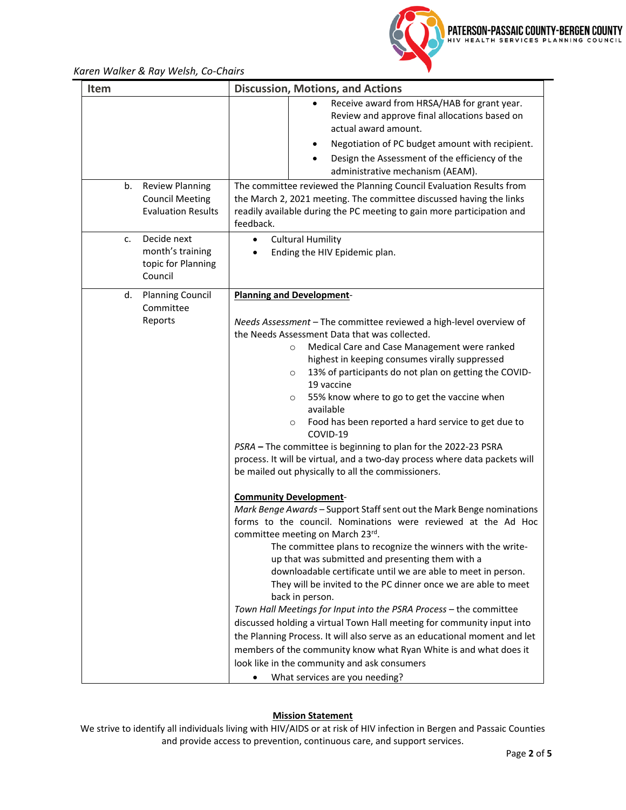

*Karen Walker & Ray Welsh, Co-Chairs*

| Item                                                                               | <b>Discussion, Motions, and Actions</b>                                                                                                                                                                                                                                                                                                                                                                                                                                                                                                                                                                                                                                                                                                                                                                                                                                                                                                                                                                                                                                                                                                                                                                                                                                                                                                                                                                                                                                                                                                                                             |  |  |  |  |  |
|------------------------------------------------------------------------------------|-------------------------------------------------------------------------------------------------------------------------------------------------------------------------------------------------------------------------------------------------------------------------------------------------------------------------------------------------------------------------------------------------------------------------------------------------------------------------------------------------------------------------------------------------------------------------------------------------------------------------------------------------------------------------------------------------------------------------------------------------------------------------------------------------------------------------------------------------------------------------------------------------------------------------------------------------------------------------------------------------------------------------------------------------------------------------------------------------------------------------------------------------------------------------------------------------------------------------------------------------------------------------------------------------------------------------------------------------------------------------------------------------------------------------------------------------------------------------------------------------------------------------------------------------------------------------------------|--|--|--|--|--|
| <b>Review Planning</b><br>b.                                                       | Receive award from HRSA/HAB for grant year.<br>Review and approve final allocations based on<br>actual award amount.<br>Negotiation of PC budget amount with recipient.<br>Design the Assessment of the efficiency of the<br>administrative mechanism (AEAM).<br>The committee reviewed the Planning Council Evaluation Results from                                                                                                                                                                                                                                                                                                                                                                                                                                                                                                                                                                                                                                                                                                                                                                                                                                                                                                                                                                                                                                                                                                                                                                                                                                                |  |  |  |  |  |
| <b>Council Meeting</b><br><b>Evaluation Results</b>                                | the March 2, 2021 meeting. The committee discussed having the links<br>readily available during the PC meeting to gain more participation and<br>feedback.                                                                                                                                                                                                                                                                                                                                                                                                                                                                                                                                                                                                                                                                                                                                                                                                                                                                                                                                                                                                                                                                                                                                                                                                                                                                                                                                                                                                                          |  |  |  |  |  |
| Decide next<br>$\mathsf{C}$ .<br>month's training<br>topic for Planning<br>Council | <b>Cultural Humility</b><br>$\bullet$<br>Ending the HIV Epidemic plan.                                                                                                                                                                                                                                                                                                                                                                                                                                                                                                                                                                                                                                                                                                                                                                                                                                                                                                                                                                                                                                                                                                                                                                                                                                                                                                                                                                                                                                                                                                              |  |  |  |  |  |
| <b>Planning Council</b><br>d.<br>Committee<br>Reports                              | <b>Planning and Development-</b><br>Needs Assessment - The committee reviewed a high-level overview of<br>the Needs Assessment Data that was collected.<br>Medical Care and Case Management were ranked<br>$\circ$<br>highest in keeping consumes virally suppressed<br>13% of participants do not plan on getting the COVID-<br>$\circ$<br>19 vaccine<br>55% know where to go to get the vaccine when<br>O<br>available<br>Food has been reported a hard service to get due to<br>O<br>COVID-19<br>PSRA - The committee is beginning to plan for the 2022-23 PSRA<br>process. It will be virtual, and a two-day process where data packets will<br>be mailed out physically to all the commissioners.<br><b>Community Development-</b><br>Mark Benge Awards - Support Staff sent out the Mark Benge nominations<br>forms to the council. Nominations were reviewed at the Ad Hoc<br>committee meeting on March 23rd.<br>The committee plans to recognize the winners with the write-<br>up that was submitted and presenting them with a<br>downloadable certificate until we are able to meet in person.<br>They will be invited to the PC dinner once we are able to meet<br>back in person.<br>Town Hall Meetings for Input into the PSRA Process - the committee<br>discussed holding a virtual Town Hall meeting for community input into<br>the Planning Process. It will also serve as an educational moment and let<br>members of the community know what Ryan White is and what does it<br>look like in the community and ask consumers<br>What services are you needing? |  |  |  |  |  |

#### **Mission Statement**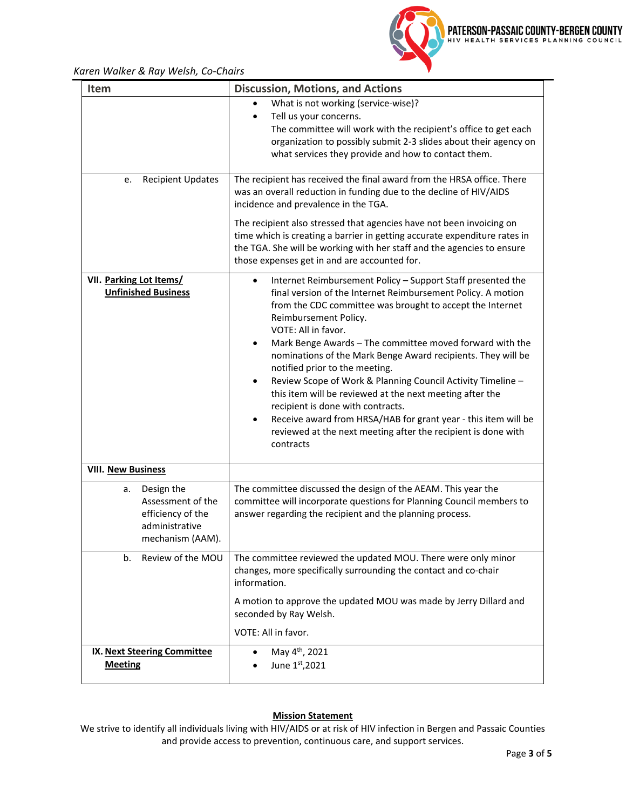

# *Karen Walker & Ray Welsh, Co-Chairs*

| <b>Item</b>                                                                                      | <b>Discussion, Motions, and Actions</b>                                                                                                                                                                                                                                                                                                                                                                                                                                                                                                                                                                                                                                                                                                                            |
|--------------------------------------------------------------------------------------------------|--------------------------------------------------------------------------------------------------------------------------------------------------------------------------------------------------------------------------------------------------------------------------------------------------------------------------------------------------------------------------------------------------------------------------------------------------------------------------------------------------------------------------------------------------------------------------------------------------------------------------------------------------------------------------------------------------------------------------------------------------------------------|
|                                                                                                  | What is not working (service-wise)?<br>Tell us your concerns.<br>$\bullet$<br>The committee will work with the recipient's office to get each<br>organization to possibly submit 2-3 slides about their agency on<br>what services they provide and how to contact them.                                                                                                                                                                                                                                                                                                                                                                                                                                                                                           |
| <b>Recipient Updates</b><br>е.                                                                   | The recipient has received the final award from the HRSA office. There<br>was an overall reduction in funding due to the decline of HIV/AIDS<br>incidence and prevalence in the TGA.                                                                                                                                                                                                                                                                                                                                                                                                                                                                                                                                                                               |
|                                                                                                  | The recipient also stressed that agencies have not been invoicing on<br>time which is creating a barrier in getting accurate expenditure rates in<br>the TGA. She will be working with her staff and the agencies to ensure<br>those expenses get in and are accounted for.                                                                                                                                                                                                                                                                                                                                                                                                                                                                                        |
| VII. Parking Lot Items/<br><b>Unfinished Business</b>                                            | Internet Reimbursement Policy - Support Staff presented the<br>$\bullet$<br>final version of the Internet Reimbursement Policy. A motion<br>from the CDC committee was brought to accept the Internet<br>Reimbursement Policy.<br>VOTE: All in favor.<br>Mark Benge Awards - The committee moved forward with the<br>$\bullet$<br>nominations of the Mark Benge Award recipients. They will be<br>notified prior to the meeting.<br>Review Scope of Work & Planning Council Activity Timeline -<br>٠<br>this item will be reviewed at the next meeting after the<br>recipient is done with contracts.<br>Receive award from HRSA/HAB for grant year - this item will be<br>$\bullet$<br>reviewed at the next meeting after the recipient is done with<br>contracts |
| <b>VIII. New Business</b>                                                                        |                                                                                                                                                                                                                                                                                                                                                                                                                                                                                                                                                                                                                                                                                                                                                                    |
| Design the<br>a.<br>Assessment of the<br>efficiency of the<br>administrative<br>mechanism (AAM). | The committee discussed the design of the AEAM. This year the<br>committee will incorporate questions for Planning Council members to<br>answer regarding the recipient and the planning process.                                                                                                                                                                                                                                                                                                                                                                                                                                                                                                                                                                  |
| Review of the MOU<br>b.                                                                          | The committee reviewed the updated MOU. There were only minor<br>changes, more specifically surrounding the contact and co-chair<br>information.<br>A motion to approve the updated MOU was made by Jerry Dillard and                                                                                                                                                                                                                                                                                                                                                                                                                                                                                                                                              |
|                                                                                                  | seconded by Ray Welsh.<br>VOTE: All in favor.                                                                                                                                                                                                                                                                                                                                                                                                                                                                                                                                                                                                                                                                                                                      |
| IX. Next Steering Committee<br><b>Meeting</b>                                                    | May 4 <sup>th</sup> , 2021<br>٠<br>June 1st, 2021                                                                                                                                                                                                                                                                                                                                                                                                                                                                                                                                                                                                                                                                                                                  |

# **Mission Statement**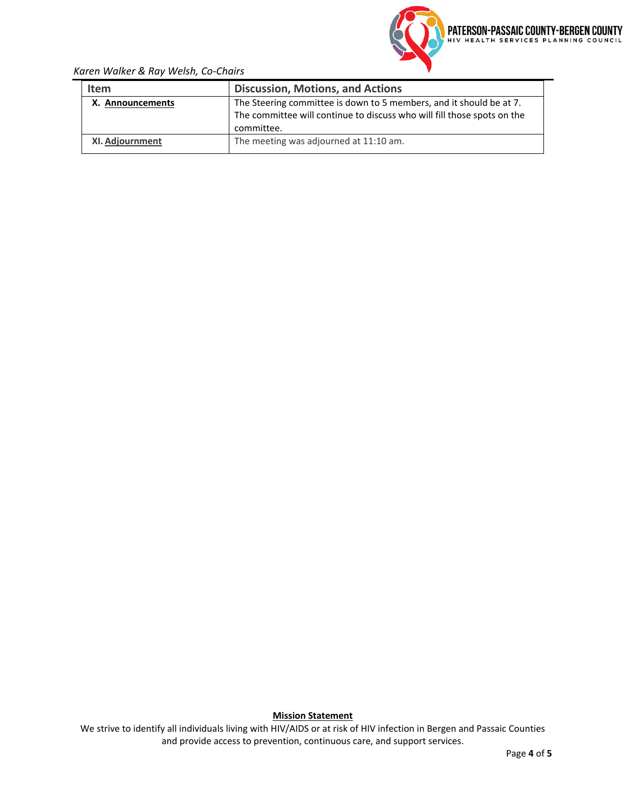

# *Karen Walker & Ray Welsh, Co-Chairs*

| <b>Item</b>      | <b>Discussion, Motions, and Actions</b>                                 |  |  |  |  |
|------------------|-------------------------------------------------------------------------|--|--|--|--|
| X. Announcements | The Steering committee is down to 5 members, and it should be at 7.     |  |  |  |  |
|                  | The committee will continue to discuss who will fill those spots on the |  |  |  |  |
|                  | committee.                                                              |  |  |  |  |
| XI. Adjournment  | The meeting was adjourned at 11:10 am.                                  |  |  |  |  |

**Mission Statement**